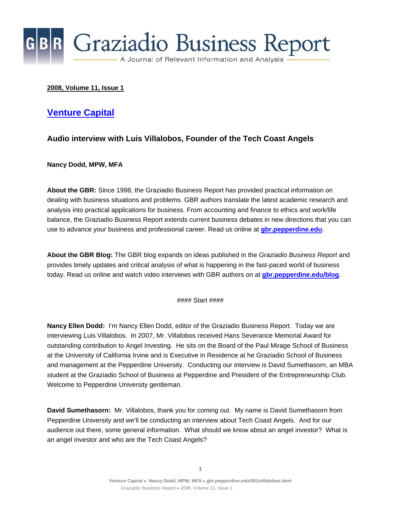

#### **2008, Volume 11, Issue 1**

#### **[Venture Capital](http://gbr.pepperdine.edu/081/villalobos.html)**

#### **Audio interview with Luis Villalobos, Founder of the Tech Coast Angels**

**Nancy Dodd, MPW, MFA** 

**About the GBR:** Since 1998, the Graziadio Business Report has provided practical information on dealing with business situations and problems. GBR authors translate the latest academic research and analysis into practical applications for business. From accounting and finance to ethics and work/life balance, the Graziadio Business Report extends current business debates in new directions that you can use to advance your business and professional career. Read us online at **[gbr.pepperdine.edu](http://gbr.pepperdine.edu/)**.

**About the GBR Blog:** The GBR blog expands on ideas published in the *Graziadio Business Report* and provides timely updates and critical analysis of what is happening in the fast-paced world of business today. Read us online and watch video interviews with GBR authors on at **[gbr.pepperdine.edu/blog](http://gbr.pepperdine.edu/blog)**.

#### Start ####

**Nancy Ellen Dodd:** I'm Nancy Ellen Dodd, editor of the Graziadio Business Report. Today we are interviewing Luis Villalobos. In 2007, Mr. Villalobos received Hans Severance Memorial Award for outstanding contribution to Angel Investing. He sits on the Board of the Paul Mirage School of Business at the University of California Irvine and is Executive in Residence at he Graziadio School of Business and management at the Pepperdine University. Conducting our interview is David Sumethasorn, an MBA student at the Graziadio School of Business at Pepperdine and President of the Entrepreneurship Club. Welcome to Pepperdine University gentleman.

**David Sumethasorn:** Mr. Villalobos, thank you for coming out. My name is David Sumethasorn from Pepperdine University and we'll be conducting an interview about Tech Coast Angels. And for our audience out there, some general information. What should we know about an angel investor? What is an angel investor and who are the Tech Coast Angels?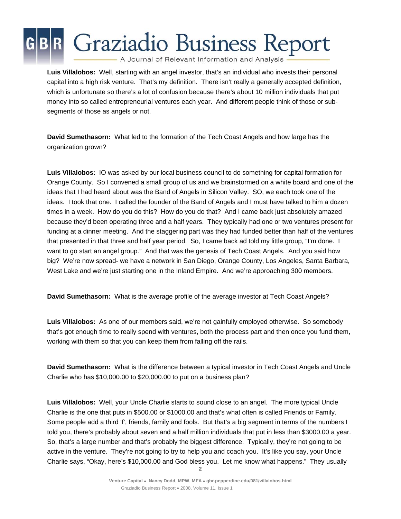A Journal of Relevant Information and Analysis

**Luis Villalobos:** Well, starting with an angel investor, that's an individual who invests their personal capital into a high risk venture. That's my definition. There isn't really a generally accepted definition, which is unfortunate so there's a lot of confusion because there's about 10 million individuals that put money into so called entrepreneurial ventures each year. And different people think of those or subsegments of those as angels or not.

**David Sumethasorn:** What led to the formation of the Tech Coast Angels and how large has the organization grown?

**Luis Villalobos:** IO was asked by our local business council to do something for capital formation for Orange County. So I convened a small group of us and we brainstormed on a white board and one of the ideas that I had heard about was the Band of Angels in Silicon Valley. SO, we each took one of the ideas. I took that one. I called the founder of the Band of Angels and I must have talked to him a dozen times in a week. How do you do this? How do you do that? And I came back just absolutely amazed because they'd been operating three and a half years. They typically had one or two ventures present for funding at a dinner meeting. And the staggering part was they had funded better than half of the ventures that presented in that three and half year period. So, I came back ad told my little group, "I'm done. I want to go start an angel group." And that was the genesis of Tech Coast Angels. And you said how big? We're now spread- we have a network in San Diego, Orange County, Los Angeles, Santa Barbara, West Lake and we're just starting one in the Inland Empire. And we're approaching 300 members.

**David Sumethasorn:** What is the average profile of the average investor at Tech Coast Angels?

**Luis Villalobos:** As one of our members said, we're not gainfully employed otherwise. So somebody that's got enough time to really spend with ventures, both the process part and then once you fund them, working with them so that you can keep them from falling off the rails.

**David Sumethasorn:** What is the difference between a typical investor in Tech Coast Angels and Uncle Charlie who has \$10,000.00 to \$20,000.00 to put on a business plan?

**Luis Villalobos:** Well, your Uncle Charlie starts to sound close to an angel. The more typical Uncle Charlie is the one that puts in \$500.00 or \$1000.00 and that's what often is called Friends or Family. Some people add a third 'f', friends, family and fools. But that's a big segment in terms of the numbers I told you, there's probably about seven and a half million individuals that put in less than \$3000.00 a year. So, that's a large number and that's probably the biggest difference. Typically, they're not going to be active in the venture. They're not going to try to help you and coach you. It's like you say, your Uncle Charlie says, "Okay, here's \$10,000.00 and God bless you. Let me know what happens." They usually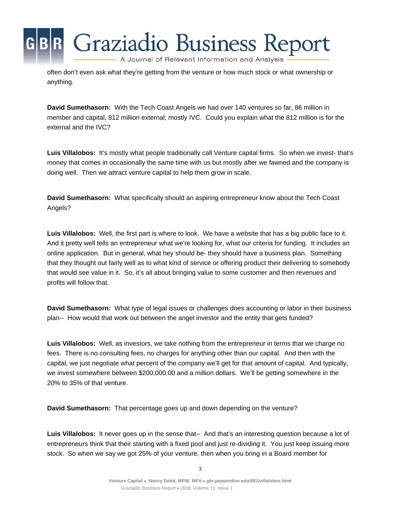A Journal of Relevant Information and Analysis

Graziadio Business Report

often don't even ask what they're getting from the venture or how much stock or what ownership or anything.

**David Sumethasorn:** With the Tech Coast Angels we had over 140 ventures so far, 86 million in member and capital, 812 million external; mostly IVC. Could you explain what the 812 million is for the external and the IVC?

**Luis Villalobos:** It's mostly what people traditionally call Venture capital firms. So when we invest- that's money that comes in occasionally the same time with us but mostly after we fawned and the company is doing well. Then we attract venture capital to help them grow in scale.

**David Sumethasorn:** What specifically should an aspiring entrepreneur know about the Tech Coast Angels?

**Luis Villalobos:** Well, the first part is where to look. We have a website that has a big public face to it. And it pretty well tells an entrepreneur what we're looking for, what our criteria for funding. It includes an online application. But in general, what hey should be- they should have a business plan. Something that they thought out fairly well as to what kind of service or offering product their delivering to somebody that would see value in it. So, it's all about bringing value to some customer and then revenues and profits will follow that.

**David Sumethasorn:** What type of legal issues or challenges does accounting or labor in their business plan-- How would that work out between the angel investor and the entity that gets funded?

**Luis Villalobos:** Well, as investors, we take nothing from the entrepreneur in terms that we charge no fees. There is no consulting fees, no charges for anything other than our capital. And then with the capital, we just negotiate what percent of the company we'll get for that amount of capital. And typically, we invest somewhere between \$200,000.00 and a million dollars. We'll be getting somewhere in the 20% to 35% of that venture.

**David Sumethasorn:** That percentage goes up and down depending on the venture?

**Luis Villalobos:** It never goes up in the sense that-- And that's an interesting question because a lot of entrepreneurs think that their starting with a fixed pool and just re-dividing it. You just keep issuing more stock. So when we say we got 25% of your venture, then when you bring in a Board member for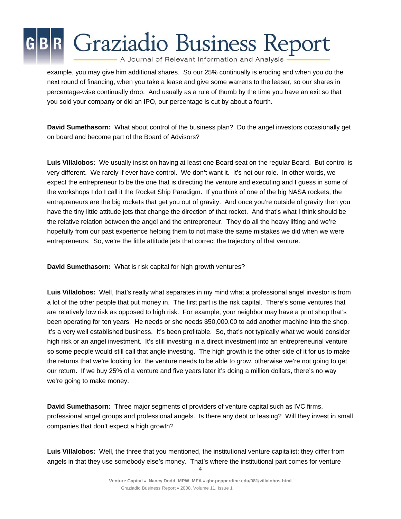A Journal of Relevant Information and Analysis

example, you may give him additional shares. So our 25% continually is eroding and when you do the next round of financing, when you take a lease and give some warrens to the leaser, so our shares in percentage-wise continually drop. And usually as a rule of thumb by the time you have an exit so that you sold your company or did an IPO, our percentage is cut by about a fourth.

**David Sumethasorn:** What about control of the business plan? Do the angel investors occasionally get on board and become part of the Board of Advisors?

**Luis Villalobos:** We usually insist on having at least one Board seat on the regular Board. But control is very different. We rarely if ever have control. We don't want it. It's not our role. In other words, we expect the entrepreneur to be the one that is directing the venture and executing and I guess in some of the workshops I do I call it the Rocket Ship Paradigm. If you think of one of the big NASA rockets, the entrepreneurs are the big rockets that get you out of gravity. And once you're outside of gravity then you have the tiny little attitude jets that change the direction of that rocket. And that's what I think should be the relative relation between the angel and the entrepreneur. They do all the heavy lifting and we're hopefully from our past experience helping them to not make the same mistakes we did when we were entrepreneurs. So, we're the little attitude jets that correct the trajectory of that venture.

**David Sumethasorn:** What is risk capital for high growth ventures?

**Luis Villalobos:** Well, that's really what separates in my mind what a professional angel investor is from a lot of the other people that put money in. The first part is the risk capital. There's some ventures that are relatively low risk as opposed to high risk. For example, your neighbor may have a print shop that's been operating for ten years. He needs or she needs \$50,000.00 to add another machine into the shop. It's a very well established business. It's been profitable. So, that's not typically what we would consider high risk or an angel investment. It's still investing in a direct investment into an entrepreneurial venture so some people would still call that angle investing. The high growth is the other side of it for us to make the returns that we're looking for, the venture needs to be able to grow, otherwise we're not going to get our return. If we buy 25% of a venture and five years later it's doing a million dollars, there's no way we're going to make money.

**David Sumethasorn:** Three major segments of providers of venture capital such as IVC firms, professional angel groups and professional angels. Is there any debt or leasing? Will they invest in small companies that don't expect a high growth?

**Luis Villalobos:** Well, the three that you mentioned, the institutional venture capitalist; they differ from angels in that they use somebody else's money. That's where the institutional part comes for venture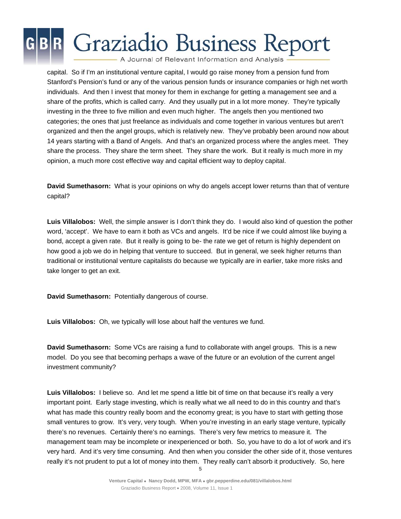A Journal of Relevant Information and Analysis

capital. So if I'm an institutional venture capital, I would go raise money from a pension fund from Stanford's Pension's fund or any of the various pension funds or insurance companies or high net worth individuals. And then I invest that money for them in exchange for getting a management see and a share of the profits, which is called carry. And they usually put in a lot more money. They're typically investing in the three to five million and even much higher. The angels then you mentioned two categories; the ones that just freelance as individuals and come together in various ventures but aren't organized and then the angel groups, which is relatively new. They've probably been around now about 14 years starting with a Band of Angels. And that's an organized process where the angles meet. They share the process. They share the term sheet. They share the work. But it really is much more in my opinion, a much more cost effective way and capital efficient way to deploy capital.

**David Sumethasorn:** What is your opinions on why do angels accept lower returns than that of venture capital?

**Luis Villalobos:** Well, the simple answer is I don't think they do. I would also kind of question the pother word, 'accept'. We have to earn it both as VCs and angels. It'd be nice if we could almost like buying a bond, accept a given rate. But it really is going to be- the rate we get of return is highly dependent on how good a job we do in helping that venture to succeed. But in general, we seek higher returns than traditional or institutional venture capitalists do because we typically are in earlier, take more risks and take longer to get an exit.

**David Sumethasorn:** Potentially dangerous of course.

**Luis Villalobos:** Oh, we typically will lose about half the ventures we fund.

**David Sumethasorn:** Some VCs are raising a fund to collaborate with angel groups. This is a new model. Do you see that becoming perhaps a wave of the future or an evolution of the current angel investment community?

**Luis Villalobos:** I believe so. And let me spend a little bit of time on that because it's really a very important point. Early stage investing, which is really what we all need to do in this country and that's what has made this country really boom and the economy great; is you have to start with getting those small ventures to grow. It's very, very tough. When you're investing in an early stage venture, typically there's no revenues. Certainly there's no earnings. There's very few metrics to measure it. The management team may be incomplete or inexperienced or both. So, you have to do a lot of work and it's very hard. And it's very time consuming. And then when you consider the other side of it, those ventures really it's not prudent to put a lot of money into them. They really can't absorb it productively. So, here

**<sup>5</sup>**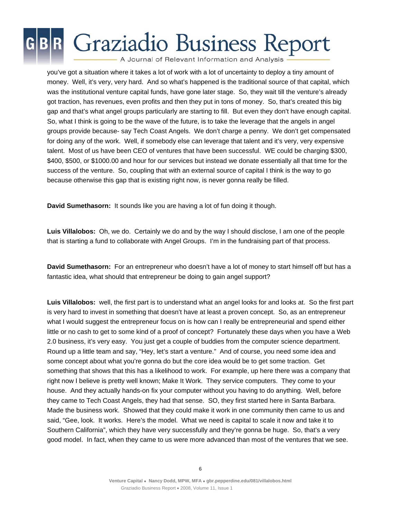A Journal of Relevant Information and Analysis

you've got a situation where it takes a lot of work with a lot of uncertainty to deploy a tiny amount of money. Well, it's very, very hard. And so what's happened is the traditional source of that capital, which was the institutional venture capital funds, have gone later stage. So, they wait till the venture's already got traction, has revenues, even profits and then they put in tons of money. So, that's created this big gap and that's what angel groups particularly are starting to fill. But even they don't have enough capital. So, what I think is going to be the wave of the future, is to take the leverage that the angels in angel groups provide because- say Tech Coast Angels. We don't charge a penny. We don't get compensated for doing any of the work. Well, if somebody else can leverage that talent and it's very, very expensive talent. Most of us have been CEO of ventures that have been successful. WE could be charging \$300, \$400, \$500, or \$1000.00 and hour for our services but instead we donate essentially all that time for the success of the venture. So, coupling that with an external source of capital I think is the way to go because otherwise this gap that is existing right now, is never gonna really be filled.

**David Sumethasorn:** It sounds like you are having a lot of fun doing it though.

**Luis Villalobos:** Oh, we do. Certainly we do and by the way I should disclose, I am one of the people that is starting a fund to collaborate with Angel Groups. I'm in the fundraising part of that process.

**David Sumethasorn:** For an entrepreneur who doesn't have a lot of money to start himself off but has a fantastic idea, what should that entrepreneur be doing to gain angel support?

**Luis Villalobos:** well, the first part is to understand what an angel looks for and looks at. So the first part is very hard to invest in something that doesn't have at least a proven concept. So, as an entrepreneur what I would suggest the entrepreneur focus on is how can I really be entrepreneurial and spend either little or no cash to get to some kind of a proof of concept? Fortunately these days when you have a Web 2.0 business, it's very easy. You just get a couple of buddies from the computer science department. Round up a little team and say, "Hey, let's start a venture." And of course, you need some idea and some concept about what you're gonna do but the core idea would be to get some traction. Get something that shows that this has a likelihood to work. For example, up here there was a company that right now I believe is pretty well known; Make It Work. They service computers. They come to your house. And they actually hands-on fix your computer without you having to do anything. Well, before they came to Tech Coast Angels, they had that sense. SO, they first started here in Santa Barbara. Made the business work. Showed that they could make it work in one community then came to us and said, "Gee, look. It works. Here's the model. What we need is capital to scale it now and take it to Southern California", which they have very successfully and they're gonna be huge. So, that's a very good model. In fact, when they came to us were more advanced than most of the ventures that we see.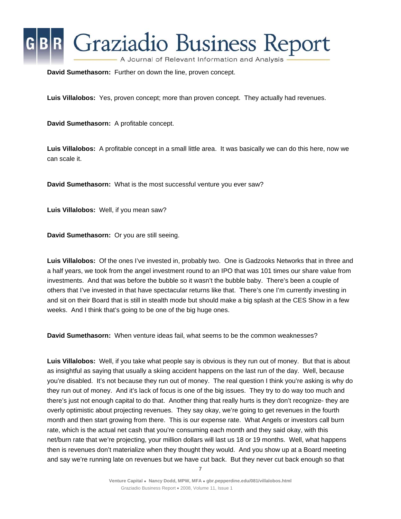

**David Sumethasorn:** Further on down the line, proven concept.

**Luis Villalobos:** Yes, proven concept; more than proven concept. They actually had revenues.

**David Sumethasorn:** A profitable concept.

**Luis Villalobos:** A profitable concept in a small little area. It was basically we can do this here, now we can scale it.

**David Sumethasorn:** What is the most successful venture you ever saw?

**Luis Villalobos:** Well, if you mean saw?

**David Sumethasorn:** Or you are still seeing.

**Luis Villalobos:** Of the ones I've invested in, probably two. One is Gadzooks Networks that in three and a half years, we took from the angel investment round to an IPO that was 101 times our share value from investments. And that was before the bubble so it wasn't the bubble baby. There's been a couple of others that I've invested in that have spectacular returns like that. There's one I'm currently investing in and sit on their Board that is still in stealth mode but should make a big splash at the CES Show in a few weeks. And I think that's going to be one of the big huge ones.

**David Sumethasorn:** When venture ideas fail, what seems to be the common weaknesses?

**Luis Villalobos:** Well, if you take what people say is obvious is they run out of money. But that is about as insightful as saying that usually a skiing accident happens on the last run of the day. Well, because you're disabled. It's not because they run out of money. The real question I think you're asking is why do they run out of money. And it's lack of focus is one of the big issues. They try to do way too much and there's just not enough capital to do that. Another thing that really hurts is they don't recognize- they are overly optimistic about projecting revenues. They say okay, we're going to get revenues in the fourth month and then start growing from there. This is our expense rate. What Angels or investors call burn rate, which is the actual net cash that you're consuming each month and they said okay, with this net/burn rate that we're projecting, your million dollars will last us 18 or 19 months. Well, what happens then is revenues don't materialize when they thought they would. And you show up at a Board meeting and say we're running late on revenues but we have cut back. But they never cut back enough so that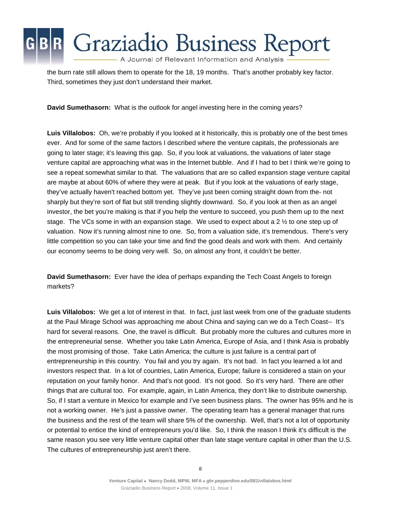A Journal of Relevant Information and Analysis

the burn rate still allows them to operate for the 18, 19 months. That's another probably key factor. Third, sometimes they just don't understand their market.

**David Sumethasorn:** What is the outlook for angel investing here in the coming years?

**Luis Villalobos:** Oh, we're probably if you looked at it historically, this is probably one of the best times ever. And for some of the same factors I described where the venture capitals, the professionals are going to later stage; it's leaving this gap. So, if you look at valuations, the valuations of later stage venture capital are approaching what was in the Internet bubble. And if I had to bet I think we're going to see a repeat somewhat similar to that. The valuations that are so called expansion stage venture capital are maybe at about 60% of where they were at peak. But if you look at the valuations of early stage, they've actually haven't reached bottom yet. They've just been coming straight down from the- not sharply but they're sort of flat but still trending slightly downward. So, if you look at then as an angel investor, the bet you're making is that if you help the venture to succeed, you push them up to the next stage. The VCs some in with an expansion stage. We used to expect about a 2  $\frac{1}{2}$  to one step up of valuation. Now it's running almost nine to one. So, from a valuation side, it's tremendous. There's very little competition so you can take your time and find the good deals and work with them. And certainly our economy seems to be doing very well. So, on almost any front, it couldn't be better.

**David Sumethasorn:** Ever have the idea of perhaps expanding the Tech Coast Angels to foreign markets?

**Luis Villalobos:** We get a lot of interest in that. In fact, just last week from one of the graduate students at the Paul Mirage School was approaching me about China and saying can we do a Tech Coast-- It's hard for several reasons. One, the travel is difficult. But probably more the cultures and cultures more in the entrepreneurial sense. Whether you take Latin America, Europe of Asia, and I think Asia is probably the most promising of those. Take Latin America; the culture is just failure is a central part of entrepreneurship in this country. You fail and you try again. It's not bad. In fact you learned a lot and investors respect that. In a lot of countries, Latin America, Europe; failure is considered a stain on your reputation on your family honor. And that's not good. It's not good. So it's very hard. There are other things that are cultural too. For example, again, in Latin America, they don't like to distribute ownership. So, if I start a venture in Mexico for example and I've seen business plans. The owner has 95% and he is not a working owner. He's just a passive owner. The operating team has a general manager that runs the business and the rest of the team will share 5% of the ownership. Well, that's not a lot of opportunity or potential to entice the kind of entrepreneurs you'd like. So, I think the reason I think it's difficult is the same reason you see very little venture capital other than late stage venture capital in other than the U.S. The cultures of entrepreneurship just aren't there.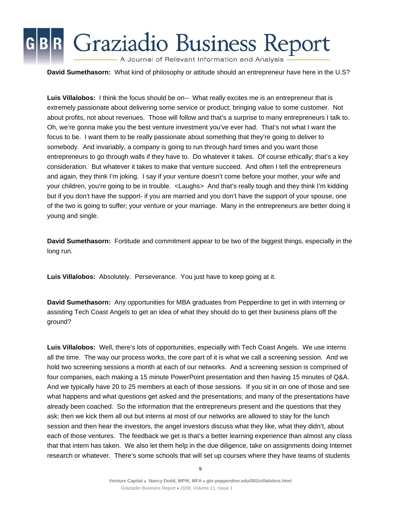A Journal of Relevant Information and Analysis

**David Sumethasorn:** What kind of philosophy or attitude should an entrepreneur have here in the U.S?

**Luis Villalobos:** I think the focus should be on-- What really excites me is an entrepreneur that is extremely passionate about delivering some service or product; bringing value to some customer. Not about profits, not about revenues. Those will follow and that's a surprise to many entrepreneurs I talk to. Oh, we're gonna make you the best venture investment you've ever had. That's not what I want the focus to be. I want them to be really passionate about something that they're going to deliver to somebody. And invariably, a company is going to run through hard times and you want those entrepreneurs to go through walls if they have to. Do whatever it takes. Of course ethically; that's a key consideration. But whatever it takes to make that venture succeed. And often I tell the entrepreneurs and again, they think I'm joking. I say if your venture doesn't come before your mother, your wife and your children, you're going to be in trouble. <Laughs> And that's really tough and they think I'm kidding but if you don't have the support- if you are married and you don't have the support of your spouse, one of the two is going to suffer; your venture or your marriage. Many in the entrepreneurs are better doing it young and single.

**David Sumethasorn:** Fortitude and commitment appear to be two of the biggest things, especially in the long run.

**Luis Villalobos:** Absolutely. Perseverance. You just have to keep going at it.

**David Sumethasorn:** Any opportunities for MBA graduates from Pepperdine to get in with interning or assisting Tech Coast Angels to get an idea of what they should do to get their business plans off the ground?

**Luis Villalobos:** Well, there's lots of opportunities, especially with Tech Coast Angels. We use interns all the time. The way our process works, the core part of it is what we call a screening session. And we hold two screening sessions a month at each of our networks. And a screening session is comprised of four companies, each making a 15 minute PowerPoint presentation and then having 15 minutes of Q&A. And we typically have 20 to 25 members at each of those sessions. If you sit in on one of those and see what happens and what questions get asked and the presentations; and many of the presentations have already been coached. So the information that the entrepreneurs present and the questions that they ask; then we kick them all out but interns at most of our networks are allowed to stay for the lunch session and then hear the investors, the angel investors discuss what they like, what they didn't, about each of those ventures. The feedback we get is that's a better learning experience than almost any class that that intern has taken. We also let them help in the due diligence, take on assignments doing Internet research or whatever. There's some schools that will set up courses where they have teams of students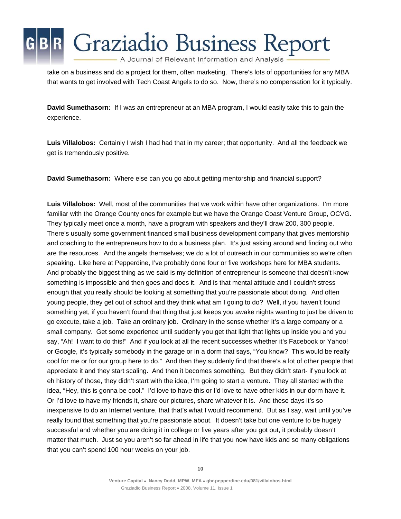

take on a business and do a project for them, often marketing. There's lots of opportunities for any MBA that wants to get involved with Tech Coast Angels to do so. Now, there's no compensation for it typically.

**David Sumethasorn:** If I was an entrepreneur at an MBA program, I would easily take this to gain the experience.

**Luis Villalobos:** Certainly I wish I had had that in my career; that opportunity. And all the feedback we get is tremendously positive.

**David Sumethasorn:** Where else can you go about getting mentorship and financial support?

**Luis Villalobos:** Well, most of the communities that we work within have other organizations. I'm more familiar with the Orange County ones for example but we have the Orange Coast Venture Group, OCVG. They typically meet once a month, have a program with speakers and they'll draw 200, 300 people. There's usually some government financed small business development company that gives mentorship and coaching to the entrepreneurs how to do a business plan. It's just asking around and finding out who are the resources. And the angels themselves; we do a lot of outreach in our communities so we're often speaking. Like here at Pepperdine, I've probably done four or five workshops here for MBA students. And probably the biggest thing as we said is my definition of entrepreneur is someone that doesn't know something is impossible and then goes and does it. And is that mental attitude and I couldn't stress enough that you really should be looking at something that you're passionate about doing. And often young people, they get out of school and they think what am I going to do? Well, if you haven't found something yet, if you haven't found that thing that just keeps you awake nights wanting to just be driven to go execute, take a job. Take an ordinary job. Ordinary in the sense whether it's a large company or a small company. Get some experience until suddenly you get that light that lights up inside you and you say, "Ah! I want to do this!" And if you look at all the recent successes whether it's Facebook or Yahoo! or Google, it's typically somebody in the garage or in a dorm that says, "You know? This would be really cool for me or for our group here to do." And then they suddenly find that there's a lot of other people that appreciate it and they start scaling. And then it becomes something. But they didn't start- if you look at eh history of those, they didn't start with the idea, I'm going to start a venture. They all started with the idea, "Hey, this is gonna be cool." I'd love to have this or I'd love to have other kids in our dorm have it. Or I'd love to have my friends it, share our pictures, share whatever it is. And these days it's so inexpensive to do an Internet venture, that that's what I would recommend. But as I say, wait until you've really found that something that you're passionate about. It doesn't take but one venture to be hugely successful and whether you are doing it in college or five years after you got out, it probably doesn't matter that much. Just so you aren't so far ahead in life that you now have kids and so many obligations that you can't spend 100 hour weeks on your job.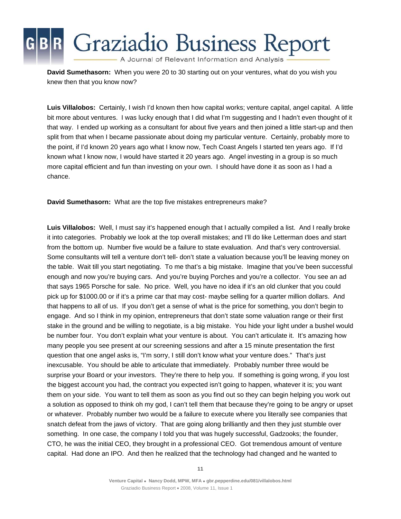A Journal of Relevant Information and Analysis

**David Sumethasorn:** When you were 20 to 30 starting out on your ventures, what do you wish you knew then that you know now?

**Luis Villalobos:** Certainly, I wish I'd known then how capital works; venture capital, angel capital. A little bit more about ventures. I was lucky enough that I did what I'm suggesting and I hadn't even thought of it that way. I ended up working as a consultant for about five years and then joined a little start-up and then split from that when I became passionate about doing my particular venture. Certainly, probably more to the point, if I'd known 20 years ago what I know now, Tech Coast Angels I started ten years ago. If I'd known what I know now, I would have started it 20 years ago. Angel investing in a group is so much more capital efficient and fun than investing on your own. I should have done it as soon as I had a chance.

**David Sumethasorn:** What are the top five mistakes entrepreneurs make?

**Luis Villalobos:** Well, I must say it's happened enough that I actually compiled a list. And I really broke it into categories. Probably we look at the top overall mistakes; and I'll do like Letterman does and start from the bottom up. Number five would be a failure to state evaluation. And that's very controversial. Some consultants will tell a venture don't tell- don't state a valuation because you'll be leaving money on the table. Wait till you start negotiating. To me that's a big mistake. Imagine that you've been successful enough and now you're buying cars. And you're buying Porches and you're a collector. You see an ad that says 1965 Porsche for sale. No price. Well, you have no idea if it's an old clunker that you could pick up for \$1000.00 or if it's a prime car that may cost- maybe selling for a quarter million dollars. And that happens to all of us. If you don't get a sense of what is the price for something, you don't begin to engage. And so I think in my opinion, entrepreneurs that don't state some valuation range or their first stake in the ground and be willing to negotiate, is a big mistake. You hide your light under a bushel would be number four. You don't explain what your venture is about. You can't articulate it. It's amazing how many people you see present at our screening sessions and after a 15 minute presentation the first question that one angel asks is, "I'm sorry, I still don't know what your venture does." That's just inexcusable. You should be able to articulate that immediately. Probably number three would be surprise your Board or your investors. They're there to help you. If something is going wrong, if you lost the biggest account you had, the contract you expected isn't going to happen, whatever it is; you want them on your side. You want to tell them as soon as you find out so they can begin helping you work out a solution as opposed to think oh my god, I can't tell them that because they're going to be angry or upset or whatever. Probably number two would be a failure to execute where you literally see companies that snatch defeat from the jaws of victory. That are going along brilliantly and then they just stumble over something. In one case, the company I told you that was hugely successful, Gadzooks; the founder, CTO, he was the initial CEO, they brought in a professional CEO. Got tremendous amount of venture capital. Had done an IPO. And then he realized that the technology had changed and he wanted to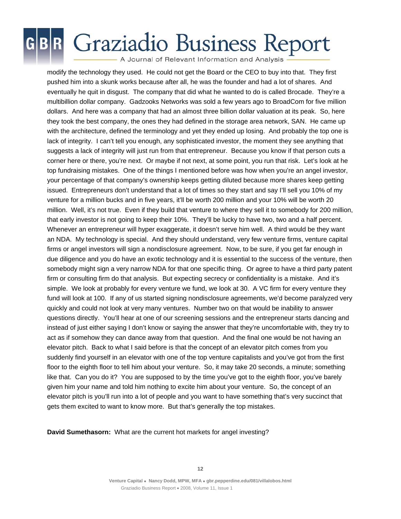A Journal of Relevant Information and Analysis

modify the technology they used. He could not get the Board or the CEO to buy into that. They first pushed him into a skunk works because after all, he was the founder and had a lot of shares. And eventually he quit in disgust. The company that did what he wanted to do is called Brocade. They're a multibillion dollar company. Gadzooks Networks was sold a few years ago to BroadCom for five million dollars. And here was a company that had an almost three billion dollar valuation at its peak. So, here they took the best company, the ones they had defined in the storage area network, SAN. He came up with the architecture, defined the terminology and yet they ended up losing. And probably the top one is lack of integrity. I can't tell you enough, any sophisticated investor, the moment they see anything that suggests a lack of integrity will just run from that entrepreneur. Because you know if that person cuts a corner here or there, you're next. Or maybe if not next, at some point, you run that risk. Let's look at he top fundraising mistakes. One of the things I mentioned before was how when you're an angel investor, your percentage of that company's ownership keeps getting diluted because more shares keep getting issued. Entrepreneurs don't understand that a lot of times so they start and say I'll sell you 10% of my venture for a million bucks and in five years, it'll be worth 200 million and your 10% will be worth 20 million. Well, it's not true. Even if they build that venture to where they sell it to somebody for 200 million, that early investor is not going to keep their 10%. They'll be lucky to have two, two and a half percent. Whenever an entrepreneur will hyper exaggerate, it doesn't serve him well. A third would be they want an NDA. My technology is special. And they should understand, very few venture firms, venture capital firms or angel investors will sign a nondisclosure agreement. Now, to be sure, if you get far enough in due diligence and you do have an exotic technology and it is essential to the success of the venture, then somebody might sign a very narrow NDA for that one specific thing. Or agree to have a third party patent firm or consulting firm do that analysis. But expecting secrecy or confidentiality is a mistake. And it's simple. We look at probably for every venture we fund, we look at 30. A VC firm for every venture they fund will look at 100. If any of us started signing nondisclosure agreements, we'd become paralyzed very quickly and could not look at very many ventures. Number two on that would be inability to answer questions directly. You'll hear at one of our screening sessions and the entrepreneur starts dancing and instead of just either saying I don't know or saying the answer that they're uncomfortable with, they try to act as if somehow they can dance away from that question. And the final one would be not having an elevator pitch. Back to what I said before is that the concept of an elevator pitch comes from you suddenly find yourself in an elevator with one of the top venture capitalists and you've got from the first floor to the eighth floor to tell him about your venture. So, it may take 20 seconds, a minute; something like that. Can you do it? You are supposed to by the time you've got to the eighth floor, you've barely given him your name and told him nothing to excite him about your venture. So, the concept of an elevator pitch is you'll run into a lot of people and you want to have something that's very succinct that gets them excited to want to know more. But that's generally the top mistakes.

**David Sumethasorn:** What are the current hot markets for angel investing?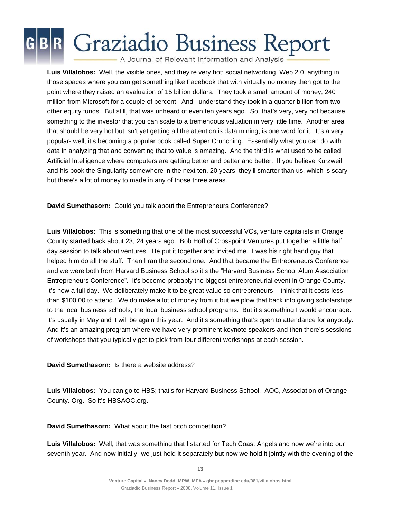A Journal of Relevant Information and Analysis

**Luis Villalobos:** Well, the visible ones, and they're very hot; social networking, Web 2.0, anything in those spaces where you can get something like Facebook that with virtually no money then got to the point where they raised an evaluation of 15 billion dollars. They took a small amount of money, 240 million from Microsoft for a couple of percent. And I understand they took in a quarter billion from two other equity funds. But still, that was unheard of even ten years ago. So, that's very, very hot because something to the investor that you can scale to a tremendous valuation in very little time. Another area that should be very hot but isn't yet getting all the attention is data mining; is one word for it. It's a very popular- well, it's becoming a popular book called Super Crunching. Essentially what you can do with data in analyzing that and converting that to value is amazing. And the third is what used to be called Artificial Intelligence where computers are getting better and better and better. If you believe Kurzweil and his book the Singularity somewhere in the next ten, 20 years, they'll smarter than us, which is scary but there's a lot of money to made in any of those three areas.

**David Sumethasorn:** Could you talk about the Entrepreneurs Conference?

**Luis Villalobos:** This is something that one of the most successful VCs, venture capitalists in Orange County started back about 23, 24 years ago. Bob Hoff of Crosspoint Ventures put together a little half day session to talk about ventures. He put it together and invited me. I was his right hand guy that helped him do all the stuff. Then I ran the second one. And that became the Entrepreneurs Conference and we were both from Harvard Business School so it's the "Harvard Business School Alum Association Entrepreneurs Conference". It's become probably the biggest entrepreneurial event in Orange County. It's now a full day. We deliberately make it to be great value so entrepreneurs- I think that it costs less than \$100.00 to attend. We do make a lot of money from it but we plow that back into giving scholarships to the local business schools, the local business school programs. But it's something I would encourage. It's usually in May and it will be again this year. And it's something that's open to attendance for anybody. And it's an amazing program where we have very prominent keynote speakers and then there's sessions of workshops that you typically get to pick from four different workshops at each session.

#### **David Sumethasorn:** Is there a website address?

**Luis Villalobos:** You can go to HBS; that's for Harvard Business School. AOC, Association of Orange County. Org. So it's HBSAOC.org.

**David Sumethasorn:** What about the fast pitch competition?

**Luis Villalobos:** Well, that was something that I started for Tech Coast Angels and now we're into our seventh year. And now initially- we just held it separately but now we hold it jointly with the evening of the